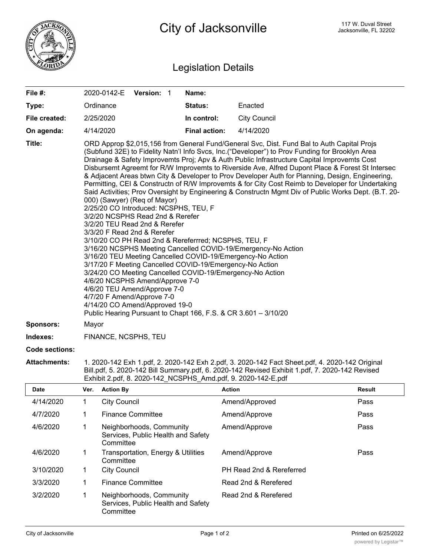

## Legislation Details

| File #:          | 2020-0142-E                                                                                                                                                                                                                                                                                                                                                                                                                                                                                                                                                                                                                  | Version: 1 |  | Name:                                                           |                                                                                                                                                                                                                                                                                                                                                                                                                                                                                                                                                                                                                                                                                                                   |
|------------------|------------------------------------------------------------------------------------------------------------------------------------------------------------------------------------------------------------------------------------------------------------------------------------------------------------------------------------------------------------------------------------------------------------------------------------------------------------------------------------------------------------------------------------------------------------------------------------------------------------------------------|------------|--|-----------------------------------------------------------------|-------------------------------------------------------------------------------------------------------------------------------------------------------------------------------------------------------------------------------------------------------------------------------------------------------------------------------------------------------------------------------------------------------------------------------------------------------------------------------------------------------------------------------------------------------------------------------------------------------------------------------------------------------------------------------------------------------------------|
| Type:            | Ordinance                                                                                                                                                                                                                                                                                                                                                                                                                                                                                                                                                                                                                    |            |  | Status:                                                         | Enacted                                                                                                                                                                                                                                                                                                                                                                                                                                                                                                                                                                                                                                                                                                           |
| File created:    | 2/25/2020                                                                                                                                                                                                                                                                                                                                                                                                                                                                                                                                                                                                                    |            |  | In control:                                                     | <b>City Council</b>                                                                                                                                                                                                                                                                                                                                                                                                                                                                                                                                                                                                                                                                                               |
| On agenda:       | 4/14/2020                                                                                                                                                                                                                                                                                                                                                                                                                                                                                                                                                                                                                    |            |  | <b>Final action:</b>                                            | 4/14/2020                                                                                                                                                                                                                                                                                                                                                                                                                                                                                                                                                                                                                                                                                                         |
| Title:           | 000) (Sawyer) (Req of Mayor)<br>2/25/20 CO Introduced: NCSPHS, TEU, F<br>3/2/20 NCSPHS Read 2nd & Rerefer<br>3/2/20 TEU Read 2nd & Rerefer<br>3/3/20 F Read 2nd & Rerefer<br>3/10/20 CO PH Read 2nd & Rereferrred; NCSPHS, TEU, F<br>3/16/20 NCSPHS Meeting Cancelled COVID-19/Emergency-No Action<br>3/16/20 TEU Meeting Cancelled COVID-19/Emergency-No Action<br>3/17/20 F Meeting Cancelled COVID-19/Emergency-No Action<br>3/24/20 CO Meeting Cancelled COVID-19/Emergency-No Action<br>4/6/20 NCSPHS Amend/Approve 7-0<br>4/6/20 TEU Amend/Approve 7-0<br>4/7/20 F Amend/Approve 7-0<br>4/14/20 CO Amend/Approved 19-0 |            |  | Public Hearing Pursuant to Chapt 166, F.S. & CR 3.601 - 3/10/20 | ORD Approp \$2,015,156 from General Fund/General Svc, Dist. Fund Bal to Auth Capital Projs<br>(Subfund 32E) to Fidelity Natn'l Info Svcs, Inc.("Developer") to Prov Funding for Brooklyn Area<br>Drainage & Safety Improvemts Proj; Apv & Auth Public Infrastructure Capital Improvemts Cost<br>Disbursemt Agreemt for R/W Improvemts to Riverside Ave, Alfred Dupont Place & Forest St Intersec<br>& Adjacent Areas btwn City & Developer to Prov Developer Auth for Planning, Design, Engineering,<br>Permitting, CEI & Constructn of R/W Improvemts & for City Cost Reimb to Developer for Undertaking<br>Said Activities; Prov Oversight by Engineering & Constructn Mgmt Div of Public Works Dept. (B.T. 20- |
| <b>Sponsors:</b> | Mayor                                                                                                                                                                                                                                                                                                                                                                                                                                                                                                                                                                                                                        |            |  |                                                                 |                                                                                                                                                                                                                                                                                                                                                                                                                                                                                                                                                                                                                                                                                                                   |
| Indexes:         | FINANCE, NCSPHS, TEU                                                                                                                                                                                                                                                                                                                                                                                                                                                                                                                                                                                                         |            |  |                                                                 |                                                                                                                                                                                                                                                                                                                                                                                                                                                                                                                                                                                                                                                                                                                   |

**Code sections:**

**Attachments:** 1. 2020-142 Exh 1.pdf, 2. 2020-142 Exh 2.pdf, 3. 2020-142 Fact Sheet.pdf, 4. 2020-142 Original Bill.pdf, 5. 2020-142 Bill Summary.pdf, 6. 2020-142 Revised Exhibit 1.pdf, 7. 2020-142 Revised Exhibit 2.pdf, 8. 2020-142\_NCSPHS\_Amd.pdf, 9. 2020-142-E.pdf

| <b>Date</b> | Ver. | <b>Action By</b>                                                            | <b>Action</b>            | <b>Result</b> |
|-------------|------|-----------------------------------------------------------------------------|--------------------------|---------------|
| 4/14/2020   |      | <b>City Council</b>                                                         | Amend/Approved           | Pass          |
| 4/7/2020    |      | <b>Finance Committee</b>                                                    | Amend/Approve            | Pass          |
| 4/6/2020    |      | Neighborhoods, Community<br>Services, Public Health and Safety<br>Committee | Amend/Approve            | Pass          |
| 4/6/2020    |      | Transportation, Energy & Utilities<br>Committee                             | Amend/Approve            | Pass          |
| 3/10/2020   | 1    | <b>City Council</b>                                                         | PH Read 2nd & Rereferred |               |
| 3/3/2020    |      | <b>Finance Committee</b>                                                    | Read 2nd & Rerefered     |               |
| 3/2/2020    |      | Neighborhoods, Community<br>Services, Public Health and Safety<br>Committee | Read 2nd & Rerefered     |               |